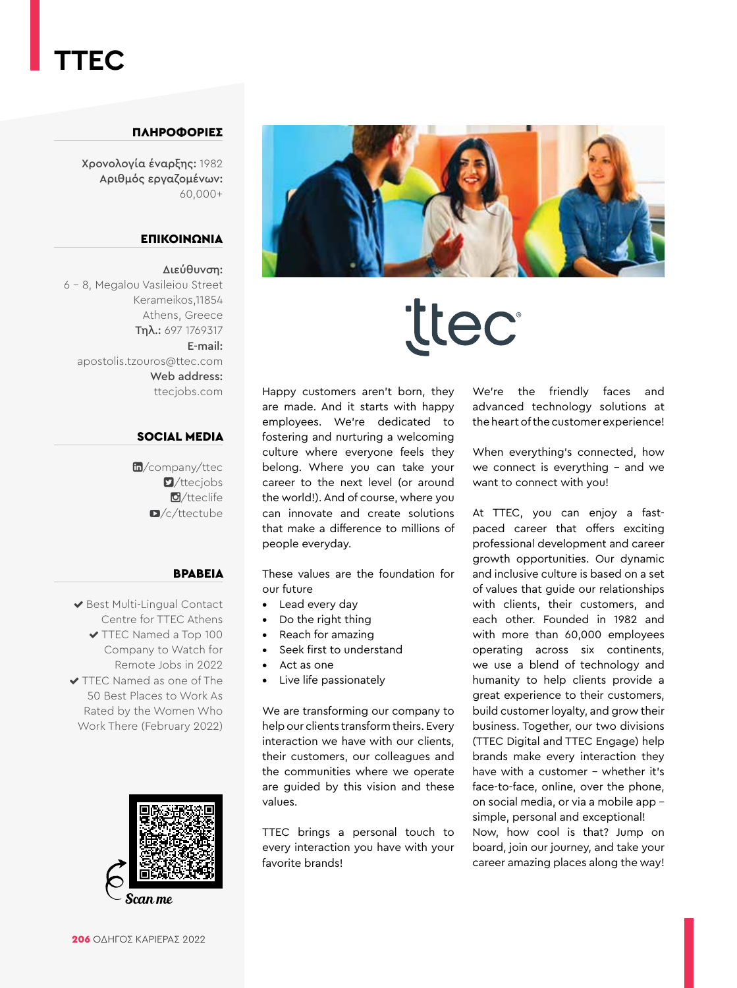### **TTEC**

#### ΠΛΗΡΟΦΟΡΙΕΣ

Χρονολογία έναρξης: 1982 Αριθμός εργαζομένων: 60,000+

#### ΕΠΙΚΟΙΝΩΝΙΑ

#### Διεύθυνση:

6 - 8, Megalou Vasileiou Street Kerameikos,11854 Athens, Greece Τηλ.: 697 1769317 E-mail: apostolis.tzouros@ttec.com Web address: [ttecjobs.com](https://www.ttecjobs.com/)

#### SOCIAL MEDIA

m[/company/ttec](https://www.linkedin.com/company/ttec/)  $\blacksquare$ [/ttecjobs](https://twitter.com/ttecjobs) **d**[/tteclife](https://www.instagram.com/tteclife/)  $\Box$ [/c/ttectube](https://www.youtube.com/c/ttectube)

#### ΒΡΑΒΕΊΑ

◆ Best Multi-Lingual Contact Centre for TTEC Athens ◆ TTEC Named a Top 100 Company to Watch for Remote Jobs in 2022 TTEC Named as one of The 50 Best Places to Work As Rated by the Women Who Work There (February 2022)



Scan me



# **ttec**

Happy customers aren't born, they are made. And it starts with happy employees. We're dedicated to fostering and nurturing a welcoming culture where everyone feels they belong. Where you can take your career to the next level (or around the world!). And of course, where you can innovate and create solutions that make a difference to millions of people everyday.

These values are the foundation for our future

- Lead every day
- Do the right thing
- Reach for amazing
- Seek first to understand
- Act as one
- Live life passionately

We are transforming our company to help our clients transform theirs. Every interaction we have with our clients, their customers, our colleagues and the communities where we operate are guided by this vision and these values.

TTEC brings a personal touch to every interaction you have with your favorite brands!

We're the friendly faces and advanced technology solutions at the heart of the customer experience!

When everything's connected, how we connect is everything - and we want to connect with you!

At TTEC, you can enjoy a fastpaced career that offers exciting professional development and career growth opportunities. Our dynamic and inclusive culture is based on a set of values that guide our relationships with clients, their customers, and each other. Founded in 1982 and with more than 60,000 employees operating across six continents, we use a blend of technology and humanity to help clients provide a great experience to their customers, build customer loyalty, and grow their business. Together, our two divisions (TTEC Digital and TTEC Engage) help brands make every interaction they have with a customer - whether it's face-to-face, online, over the phone, on social media, or via a mobile app simple, personal and exceptional! Now, how cool is that? Jump on board, join our journey, and take your career amazing places along the way!